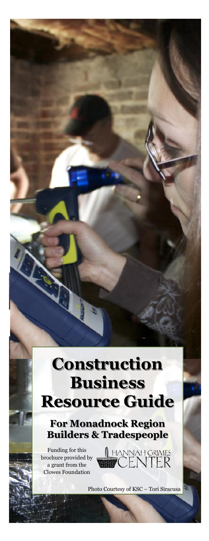## **Construction Business Resource Guide**

**For Monadnock Region Builders & Tradespeople**

Funding for this brochure provided by a grant from the Clowes Foundation

A HANNAH GRIMES<br>**BBC** CENTER

Photo Courtesy of KSC – Tori Siracusa